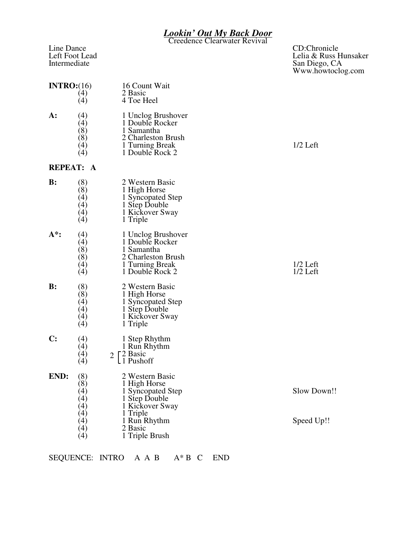## *Lookin' Out My Back Door*

Creedence Clearwater Revival

Line Dance<br>Left Foot Lead<br>Left Foot Lead<br>Lehia & Russ H

## Left Foot Lead Lead Lett Foot Lead Lett Foot Lead Lett Foot Lead Lett Foot Lead Lett Foot Lead Lett A Intermediate San Diego, CA Www.howtoclog.com

| INTRO: (16)    | (4)<br>(4)                                                                                                                       | 16 Count Wait<br>2 Basic<br>4 Toe Heel                                                                                                            |                           |
|----------------|----------------------------------------------------------------------------------------------------------------------------------|---------------------------------------------------------------------------------------------------------------------------------------------------|---------------------------|
| A:             | (4)<br>(4)<br>(8)<br>(8)<br>(4)<br>(4)                                                                                           | 1 Unclog Brushover<br>1 Double Rocker<br>1 Samantha<br>2 Charleston Brush<br>1 Turning Break<br>1 Double Rock 2                                   | $1/2$ Left                |
|                | <b>REPEAT: A</b>                                                                                                                 |                                                                                                                                                   |                           |
| $\mathbf{B}$ : | (8)<br>(8)<br>(4)<br>(4)<br>(4)<br>(4)                                                                                           | 2 Western Basic<br>1 High Horse<br>1 Syncopated Step<br>1 Step Double<br>1 Kickover Sway<br>1 Triple                                              |                           |
| A*:            | (4)<br>(4)<br>(8)<br>(8)<br>(4)<br>(4)                                                                                           | 1 Unclog Brushover<br>1 Double Rocker<br>1 Samantha<br>2 Charleston Brush<br>1 Turning Break<br>1 Double Rock 2                                   | $1/2$ Left<br>$1/2$ Left  |
| $B$ :          | (8)<br>(8)<br>(4)<br>$\left( 4\right)$<br>(4)<br>(4)                                                                             | 2 Western Basic<br>1 High Horse<br>1 Syncopated Step<br>1 Step Double<br>1 Kickover Sway<br>1 Triple                                              |                           |
| $\mathbf{C}$ : | (4)<br>(4)<br>(4)<br>(4)                                                                                                         | 1 Step Rhythm<br>1 Run Rhythm<br><b>F2</b> Basic<br>$\overline{2}$<br>L <sub>1</sub> Pushoff                                                      |                           |
| END:           | (8)<br>(8)<br>$\left( 4\right)$<br>$\left(4\right)$<br>$\left( 4\right)$<br>$\left( 4\right)$<br>(4)<br>$\left( 4\right)$<br>(4) | 2 Western Basic<br>1 High Horse<br>1 Syncopated Step<br>1 Step Double<br>1 Kickover Sway<br>1 Triple<br>1 Run Rhythm<br>2 Basic<br>1 Triple Brush | Slow Down!!<br>Speed Up!! |

SEQUENCE: INTRO A A B A\* B C END